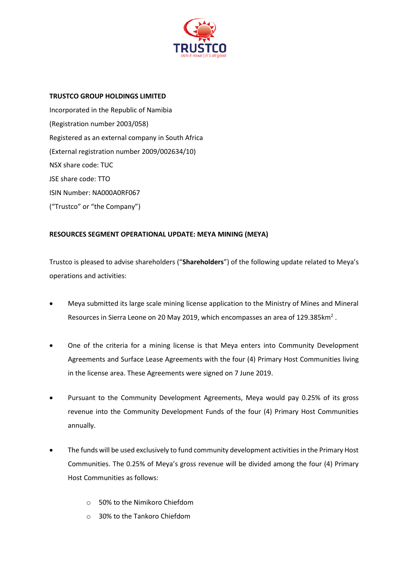

## **TRUSTCO GROUP HOLDINGS LIMITED**

Incorporated in the Republic of Namibia (Registration number 2003/058) Registered as an external company in South Africa (External registration number 2009/002634/10) NSX share code: TUC JSE share code: TTO ISIN Number: NA000A0RF067 ("Trustco" or "the Company")

## **RESOURCES SEGMENT OPERATIONAL UPDATE: MEYA MINING (MEYA)**

Trustco is pleased to advise shareholders ("**Shareholders**") of the following update related to Meya's operations and activities:

- Meya submitted its large scale mining license application to the Ministry of Mines and Mineral Resources in Sierra Leone on 20 May 2019, which encompasses an area of 129.385 $km^2$  .
- One of the criteria for a mining license is that Meya enters into Community Development Agreements and Surface Lease Agreements with the four (4) Primary Host Communities living in the license area. These Agreements were signed on 7 June 2019.
- Pursuant to the Community Development Agreements, Meya would pay 0.25% of its gross revenue into the Community Development Funds of the four (4) Primary Host Communities annually.
- The funds will be used exclusively to fund community development activities in the Primary Host Communities. The 0.25% of Meya's gross revenue will be divided among the four (4) Primary Host Communities as follows:
	- o 50% to the Nimikoro Chiefdom
	- o 30% to the Tankoro Chiefdom